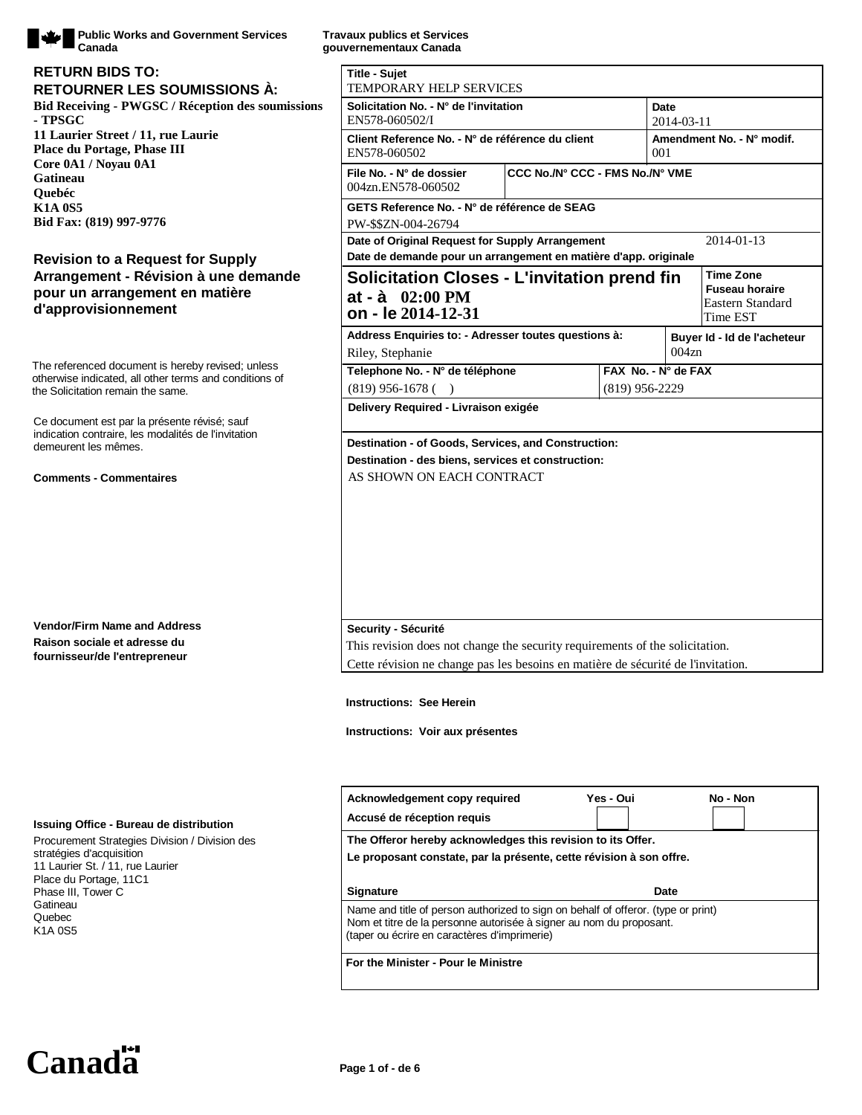

**Public Works and Government Services Canada**

#### **Bid Receiving - PWGSC / Réception des soumissions - TPSGC 11 Laurier Street / 11, rue Laurie Place du Portage, Phase III Core 0A1 / Noyau 0A1 Gatineau Quebéc K1A 0S5 Bid Fax: (819) 997-9776 RETOURNER LES SOUMISSIONS À: RETURN BIDS TO:**

### **Revision to a Request for Supply Arrangement - Révision à une demande pour un arrangement en matière d'approvisionnement**

The referenced document is hereby revised; unless otherwise indicated, all other terms and conditions of the Solicitation remain the same.

Ce document est par la présente révisé; sauf indication contraire, les modalités de l'invitation demeurent les mêmes.

#### **Comments - Commentaires**

**Vendor/Firm Name and Address Raison sociale et adresse du fournisseur/de l'entrepreneur**

#### **Issuing Office - Bureau de distribution**

Procurement Strategies Division / Division des stratégies d'acquisition 11 Laurier St. / 11, rue Laurier Place du Portage, 11C1 Phase III, Tower C Gatineau Quebec K1A 0S5

**Travaux publics et Services gouvernementaux Canada**

| <b>Title - Sujet</b><br>TEMPORARY HELP SERVICES                                                                                                                                                          |           |                                  |                                                       |
|----------------------------------------------------------------------------------------------------------------------------------------------------------------------------------------------------------|-----------|----------------------------------|-------------------------------------------------------|
| Solicitation No. - N° de l'invitation<br>EN578-060502/I                                                                                                                                                  |           | Date<br>2014-03-11               |                                                       |
| Client Reference No. - N° de référence du client<br>EN578-060502                                                                                                                                         |           | Amendment No. - N° modif.<br>001 |                                                       |
| CCC No./N° CCC - FMS No./N° VME<br>File No. - N° de dossier<br>004zn.EN578-060502                                                                                                                        |           |                                  |                                                       |
| GETS Reference No. - N° de référence de SEAG                                                                                                                                                             |           |                                  |                                                       |
| PW-\$\$ZN-004-26794                                                                                                                                                                                      |           |                                  |                                                       |
| Date of Original Request for Supply Arrangement<br>Date de demande pour un arrangement en matière d'app. originale                                                                                       |           |                                  | 2014-01-13                                            |
|                                                                                                                                                                                                          |           |                                  | Time Zone                                             |
| <b>Solicitation Closes - L'invitation prend fin</b><br>at - $\dot{a}$ 02:00 PM<br>on - le 2014-12-31                                                                                                     |           |                                  | <b>Fuseau horaire</b><br>Eastern Standard<br>Time EST |
| Address Enquiries to: - Adresser toutes questions à:                                                                                                                                                     |           |                                  | Buyer Id - Id de l'acheteur                           |
| Riley, Stephanie                                                                                                                                                                                         |           |                                  | 004z <sub>n</sub>                                     |
| Telephone No. - N° de téléphone                                                                                                                                                                          |           | $FAX$ No. - $N^{\circ}$ de $FAX$ |                                                       |
| $(819)$ 956-1678 ()                                                                                                                                                                                      |           | $(819)$ 956-2229                 |                                                       |
| Delivery Required - Livraison exigée                                                                                                                                                                     |           |                                  |                                                       |
| Security - Sécurité                                                                                                                                                                                      |           |                                  |                                                       |
| This revision does not change the security requirements of the solicitation.                                                                                                                             |           |                                  |                                                       |
| Cette révision ne change pas les besoins en matière de sécurité de l'invitation.                                                                                                                         |           |                                  |                                                       |
| <b>Instructions: See Herein</b><br>Instructions: Voir aux présentes                                                                                                                                      |           |                                  |                                                       |
| Acknowledgement copy required                                                                                                                                                                            | Yes - Oui |                                  | No - Non                                              |
| Accusé de réception requis                                                                                                                                                                               |           |                                  |                                                       |
| The Offeror hereby acknowledges this revision to its Offer.<br>Le proposant constate, par la présente, cette révision à son offre.                                                                       |           |                                  |                                                       |
| <b>Signature</b>                                                                                                                                                                                         |           | Date                             |                                                       |
| Name and title of person authorized to sign on behalf of offeror. (type or print)<br>Nom et titre de la personne autorisée à signer au nom du proposant.<br>(taper ou écrire en caractères d'imprimerie) |           |                                  |                                                       |

**For the Minister - Pour le Ministre**

Canada<sup><sup>11</sup></sup> Page 1 of - de 6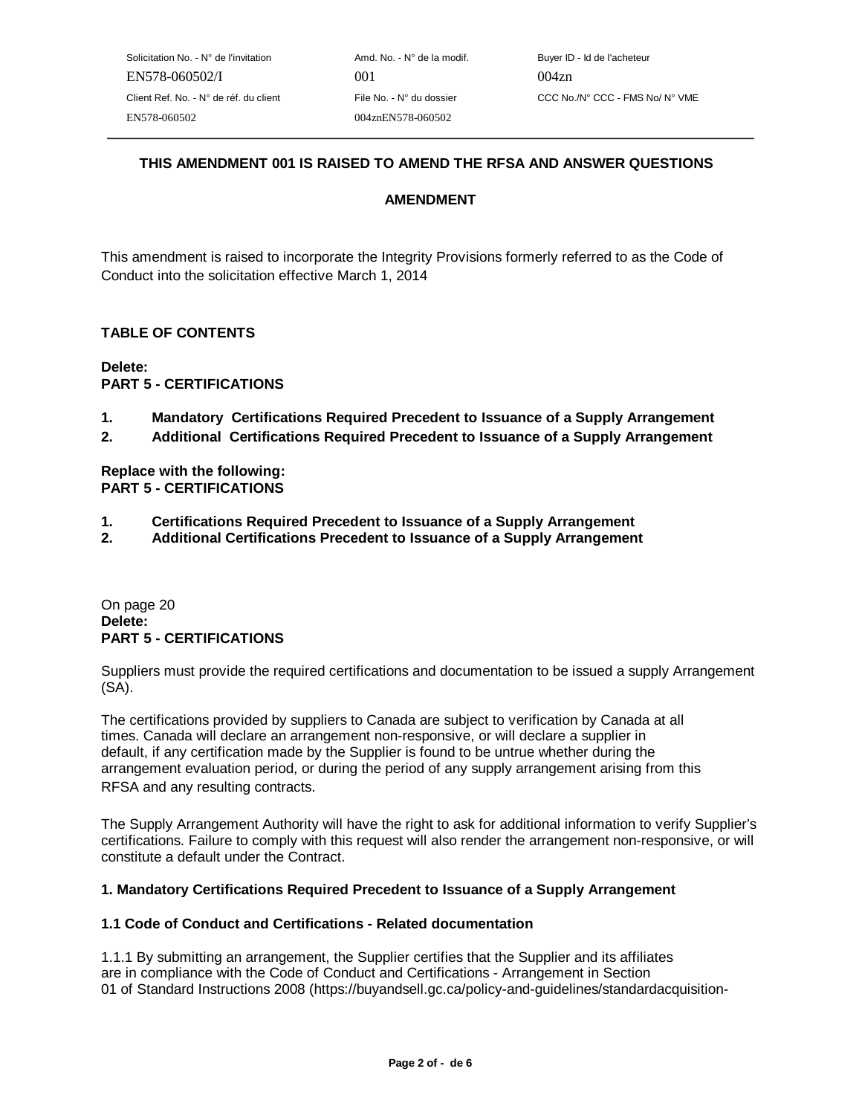## **THIS AMENDMENT 001 IS RAISED TO AMEND THE RFSA AND ANSWER QUESTIONS**

### **AMENDMENT**

This amendment is raised to incorporate the Integrity Provisions formerly referred to as the Code of Conduct into the solicitation effective March 1, 2014

### **TABLE OF CONTENTS**

**Delete: PART 5 - CERTIFICATIONS**

- **1. Mandatory Certifications Required Precedent to Issuance of a Supply Arrangement**
- **2. Additional Certifications Required Precedent to Issuance of a Supply Arrangement**

**Replace with the following: PART 5 - CERTIFICATIONS**

- **1. Certifications Required Precedent to Issuance of a Supply Arrangement**
- **2. Additional Certifications Precedent to Issuance of a Supply Arrangement**

On page 20 **Delete: PART 5 - CERTIFICATIONS**

Suppliers must provide the required certifications and documentation to be issued a supply Arrangement (SA).

The certifications provided by suppliers to Canada are subject to verification by Canada at all times. Canada will declare an arrangement non-responsive, or will declare a supplier in default, if any certification made by the Supplier is found to be untrue whether during the arrangement evaluation period, or during the period of any supply arrangement arising from this RFSA and any resulting contracts.

The Supply Arrangement Authority will have the right to ask for additional information to verify Supplier's certifications. Failure to comply with this request will also render the arrangement non-responsive, or will constitute a default under the Contract.

#### **1. Mandatory Certifications Required Precedent to Issuance of a Supply Arrangement**

#### **1.1 Code of Conduct and Certifications - Related documentation**

1.1.1 By submitting an arrangement, the Supplier certifies that the Supplier and its affiliates are in compliance with the Code of Conduct and Certifications - Arrangement in Section 01 of Standard Instructions 2008 (https://buyandsell.gc.ca/policy-and-guidelines/standardacquisition-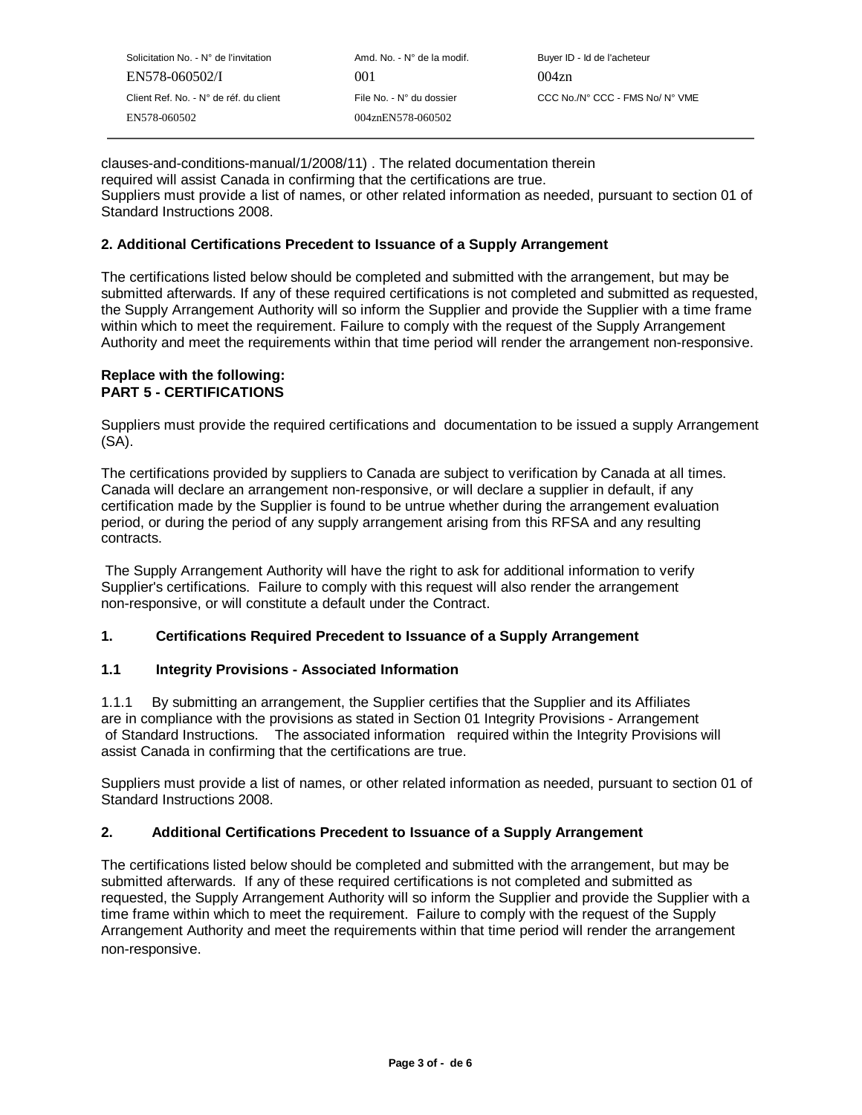| Solicitation No. - N° de l'invitation  | Amd. No. - N° de la modif. | Buyer ID - Id de l'acheteur     |
|----------------------------------------|----------------------------|---------------------------------|
| EN578-060502/I                         | 001                        | 004z <sub>n</sub>               |
| Client Ref. No. - N° de réf. du client | File No. - N° du dossier   | CCC No./N° CCC - FMS No/ N° VME |
| EN578-060502                           | 004znEN578-060502          |                                 |

clauses-and-conditions-manual/1/2008/11) . The related documentation therein required will assist Canada in confirming that the certifications are true. Suppliers must provide a list of names, or other related information as needed, pursuant to section 01 of Standard Instructions 2008.

### **2. Additional Certifications Precedent to Issuance of a Supply Arrangement**

The certifications listed below should be completed and submitted with the arrangement, but may be submitted afterwards. If any of these required certifications is not completed and submitted as requested, the Supply Arrangement Authority will so inform the Supplier and provide the Supplier with a time frame within which to meet the requirement. Failure to comply with the request of the Supply Arrangement Authority and meet the requirements within that time period will render the arrangement non-responsive.

#### **Replace with the following: PART 5 - CERTIFICATIONS**

Suppliers must provide the required certifications and documentation to be issued a supply Arrangement (SA).

The certifications provided by suppliers to Canada are subject to verification by Canada at all times. Canada will declare an arrangement non-responsive, or will declare a supplier in default, if any certification made by the Supplier is found to be untrue whether during the arrangement evaluation period, or during the period of any supply arrangement arising from this RFSA and any resulting contracts.

 The Supply Arrangement Authority will have the right to ask for additional information to verify Supplier's certifications. Failure to comply with this request will also render the arrangement non-responsive, or will constitute a default under the Contract.

### **1. Certifications Required Precedent to Issuance of a Supply Arrangement**

#### **1.1 Integrity Provisions - Associated Information**

1.1.1 By submitting an arrangement, the Supplier certifies that the Supplier and its Affiliates are in compliance with the provisions as stated in Section 01 Integrity Provisions - Arrangement of Standard Instructions. The associated information required within the Integrity Provisions will assist Canada in confirming that the certifications are true.

Suppliers must provide a list of names, or other related information as needed, pursuant to section 01 of Standard Instructions 2008.

#### **2. Additional Certifications Precedent to Issuance of a Supply Arrangement**

The certifications listed below should be completed and submitted with the arrangement, but may be submitted afterwards. If any of these required certifications is not completed and submitted as requested, the Supply Arrangement Authority will so inform the Supplier and provide the Supplier with a time frame within which to meet the requirement. Failure to comply with the request of the Supply Arrangement Authority and meet the requirements within that time period will render the arrangement non-responsive.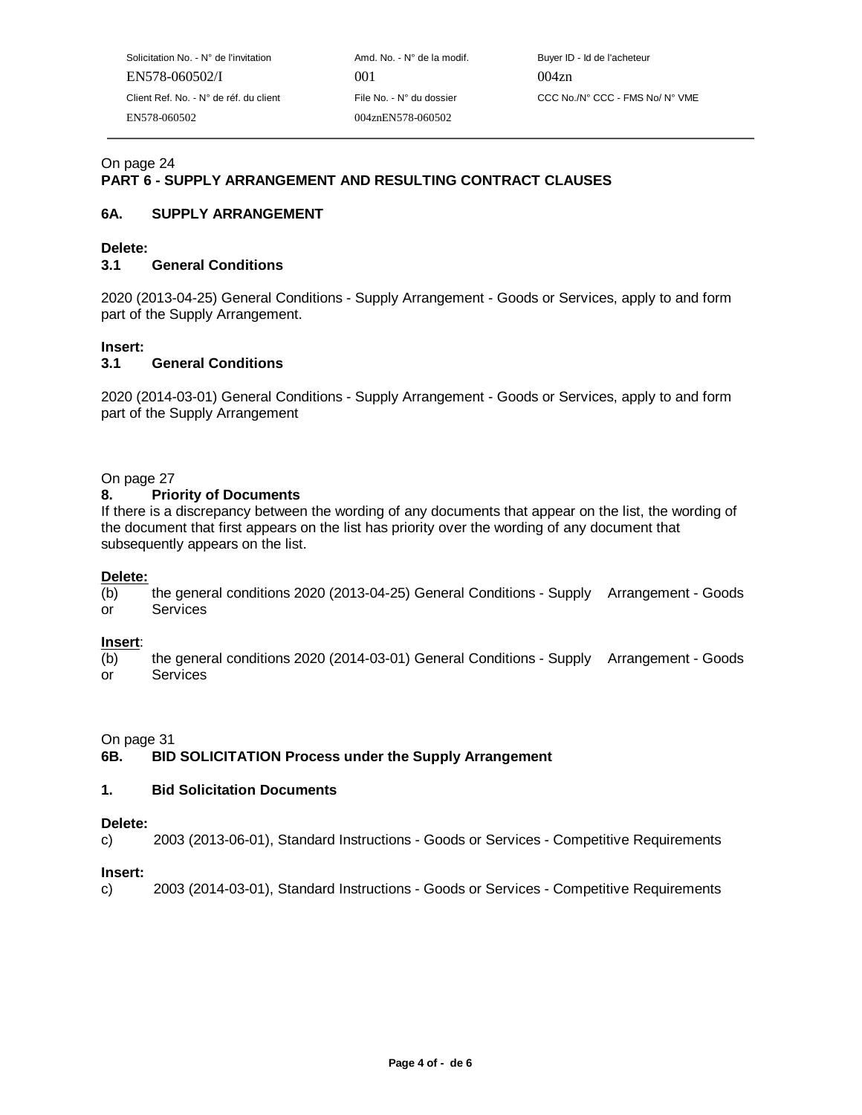Solicitation No. - N° de l'invitation Amd. No. - N° de la modif. Buyer ID - Id de l'acheteur EN578-060502/I 001 004zn EN578-060502 004znEN578-060502

### On page 24

# **PART 6 - SUPPLY ARRANGEMENT AND RESULTING CONTRACT CLAUSES**

### **6A. SUPPLY ARRANGEMENT**

### **Delete:**

### **3.1 General Conditions**

2020 (2013-04-25) General Conditions - Supply Arrangement - Goods or Services, apply to and form part of the Supply Arrangement.

### **Insert:**

### **3.1 General Conditions**

2020 (2014-03-01) General Conditions - Supply Arrangement - Goods or Services, apply to and form part of the Supply Arrangement

### On page 27

### **8. Priority of Documents**

If there is a discrepancy between the wording of any documents that appear on the list, the wording of the document that first appears on the list has priority over the wording of any document that subsequently appears on the list.

#### **Delete:**

(b) the general conditions 2020 (2013-04-25) General Conditions - Supply Arrangement - Goods or Services

#### **Insert**:

(b) the general conditions 2020 (2014-03-01) General Conditions - Supply Arrangement - Goods or Services

On page 31

### **6B. BID SOLICITATION Process under the Supply Arrangement**

### **1. Bid Solicitation Documents**

#### **Delete:**

c) 2003 (2013-06-01), Standard Instructions - Goods or Services - Competitive Requirements

#### **Insert:**

c) 2003 (2014-03-01), Standard Instructions - Goods or Services - Competitive Requirements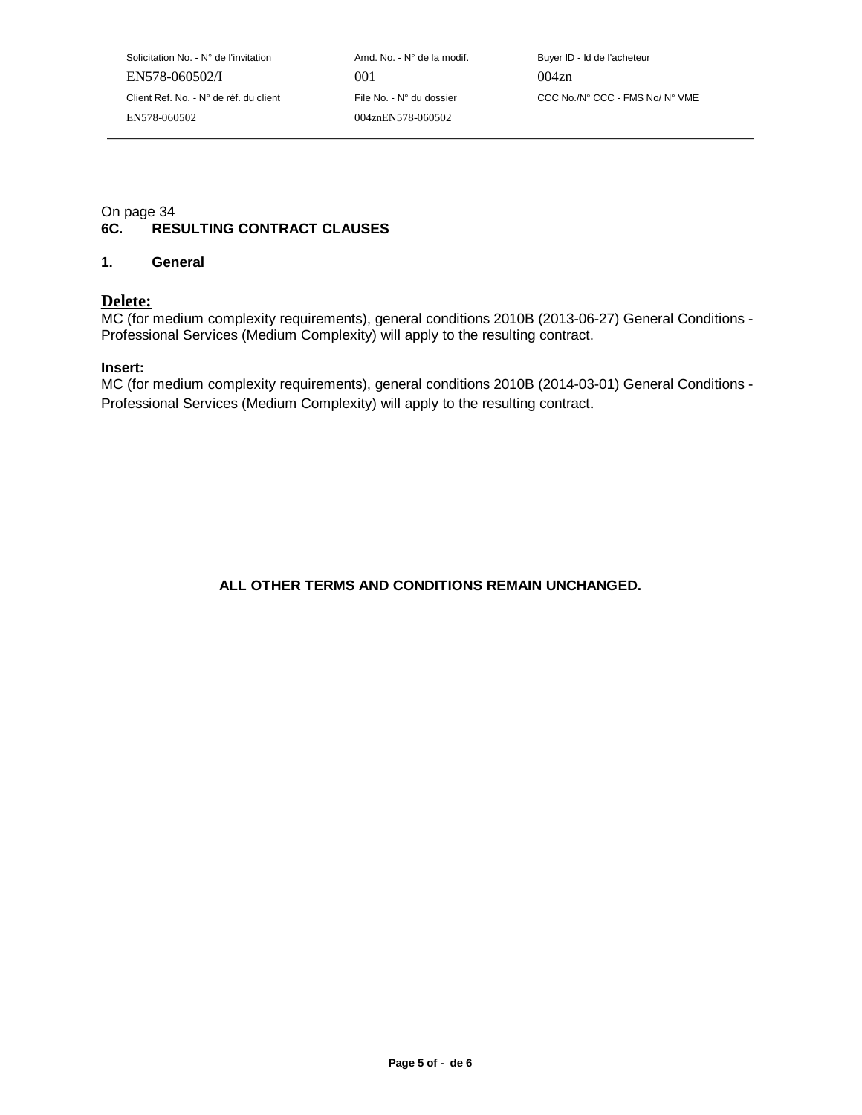Solicitation No. - N° de l'invitation Amd. No. - N° de la modif. Buyer ID - Id de l'acheteur EN578-060502/I 001 004zn EN578-060502 004znEN578-060502

Client Ref. No. - N° de réf. du client File No. - N° du dossier CCC No./N° CCC - FMS No/ N° VME

## On page 34<br>6C. RES **RESULTING CONTRACT CLAUSES**

### **1. General**

### **Delete:**

MC (for medium complexity requirements), general conditions 2010B (2013-06-27) General Conditions - Professional Services (Medium Complexity) will apply to the resulting contract.

### **Insert:**

MC (for medium complexity requirements), general conditions 2010B (2014-03-01) General Conditions - Professional Services (Medium Complexity) will apply to the resulting contract.

**ALL OTHER TERMS AND CONDITIONS REMAIN UNCHANGED.**